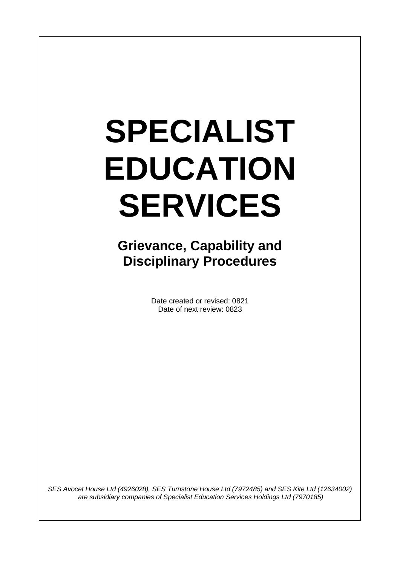# **SPECIALIST EDUCATION SERVICES**

**Grievance, Capability and Disciplinary Procedures**

> Date created or revised: 0821 Date of next review: 0823

*SES Avocet House Ltd (4926028), SES Turnstone House Ltd (7972485) and SES Kite Ltd (12634002) are subsidiary companies of Specialist Education Services Holdings Ltd (7970185)*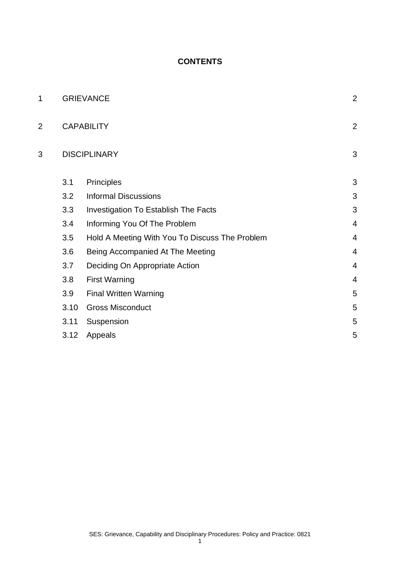# **CONTENTS**

| 1 | <b>GRIEVANCE</b>    |                                                | $\overline{a}$ |
|---|---------------------|------------------------------------------------|----------------|
| 2 | <b>CAPABILITY</b>   |                                                | $\overline{a}$ |
| 3 | <b>DISCIPLINARY</b> |                                                | 3              |
|   | 3.1                 | Principles                                     | 3              |
|   | 3.2                 | <b>Informal Discussions</b>                    | 3              |
|   | 3.3                 | <b>Investigation To Establish The Facts</b>    | 3              |
|   | 3.4                 | Informing You Of The Problem                   | 4              |
|   | 3.5                 | Hold A Meeting With You To Discuss The Problem | 4              |
|   | 3.6                 | Being Accompanied At The Meeting               | $\overline{4}$ |
|   | 3.7                 | Deciding On Appropriate Action                 | $\overline{4}$ |
|   | 3.8                 | <b>First Warning</b>                           | 4              |
|   | 3.9                 | <b>Final Written Warning</b>                   | 5              |
|   | 3.10                | <b>Gross Misconduct</b>                        | 5              |
|   | 3.11                | Suspension                                     | 5              |
|   | 3.12                | Appeals                                        | 5              |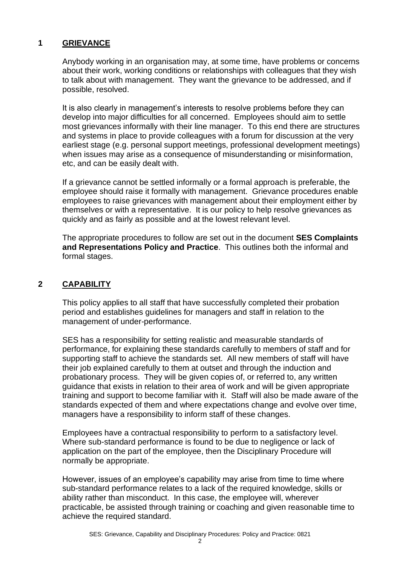## **1 GRIEVANCE**

Anybody working in an organisation may, at some time, have problems or concerns about their work, working conditions or relationships with colleagues that they wish to talk about with management. They want the grievance to be addressed, and if possible, resolved.

It is also clearly in management's interests to resolve problems before they can develop into major difficulties for all concerned. Employees should aim to settle most grievances informally with their line manager. To this end there are structures and systems in place to provide colleagues with a forum for discussion at the very earliest stage (e.g. personal support meetings, professional development meetings) when issues may arise as a consequence of misunderstanding or misinformation, etc, and can be easily dealt with.

If a grievance cannot be settled informally or a formal approach is preferable, the employee should raise it formally with management. Grievance procedures enable employees to raise grievances with management about their employment either by themselves or with a representative. It is our policy to help resolve grievances as quickly and as fairly as possible and at the lowest relevant level.

The appropriate procedures to follow are set out in the document **SES Complaints and Representations Policy and Practice**. This outlines both the informal and formal stages.

# **2 CAPABILITY**

This policy applies to all staff that have successfully completed their probation period and establishes guidelines for managers and staff in relation to the management of under-performance.

SES has a responsibility for setting realistic and measurable standards of performance, for explaining these standards carefully to members of staff and for supporting staff to achieve the standards set. All new members of staff will have their job explained carefully to them at outset and through the induction and probationary process. They will be given copies of, or referred to, any written guidance that exists in relation to their area of work and will be given appropriate training and support to become familiar with it. Staff will also be made aware of the standards expected of them and where expectations change and evolve over time, managers have a responsibility to inform staff of these changes.

Employees have a contractual responsibility to perform to a satisfactory level. Where sub-standard performance is found to be due to negligence or lack of application on the part of the employee, then the Disciplinary Procedure will normally be appropriate.

However, issues of an employee's capability may arise from time to time where sub-standard performance relates to a lack of the required knowledge, skills or ability rather than misconduct. In this case, the employee will, wherever practicable, be assisted through training or coaching and given reasonable time to achieve the required standard.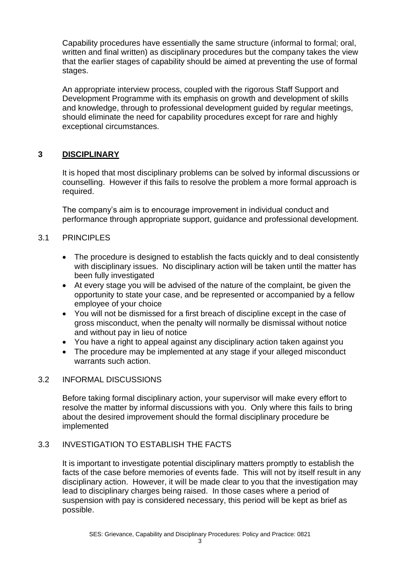Capability procedures have essentially the same structure (informal to formal; oral, written and final written) as disciplinary procedures but the company takes the view that the earlier stages of capability should be aimed at preventing the use of formal stages.

An appropriate interview process, coupled with the rigorous Staff Support and Development Programme with its emphasis on growth and development of skills and knowledge, through to professional development guided by regular meetings, should eliminate the need for capability procedures except for rare and highly exceptional circumstances.

# **3 DISCIPLINARY**

It is hoped that most disciplinary problems can be solved by informal discussions or counselling. However if this fails to resolve the problem a more formal approach is required.

The company's aim is to encourage improvement in individual conduct and performance through appropriate support, guidance and professional development.

## 3.1 PRINCIPLES

- The procedure is designed to establish the facts quickly and to deal consistently with disciplinary issues. No disciplinary action will be taken until the matter has been fully investigated
- At every stage you will be advised of the nature of the complaint, be given the opportunity to state your case, and be represented or accompanied by a fellow employee of your choice
- You will not be dismissed for a first breach of discipline except in the case of gross misconduct, when the penalty will normally be dismissal without notice and without pay in lieu of notice
- You have a right to appeal against any disciplinary action taken against you
- The procedure may be implemented at any stage if your alleged misconduct warrants such action.

#### 3.2 INFORMAL DISCUSSIONS

Before taking formal disciplinary action, your supervisor will make every effort to resolve the matter by informal discussions with you. Only where this fails to bring about the desired improvement should the formal disciplinary procedure be implemented

# 3.3 INVESTIGATION TO ESTABLISH THE FACTS

It is important to investigate potential disciplinary matters promptly to establish the facts of the case before memories of events fade. This will not by itself result in any disciplinary action. However, it will be made clear to you that the investigation may lead to disciplinary charges being raised. In those cases where a period of suspension with pay is considered necessary, this period will be kept as brief as possible.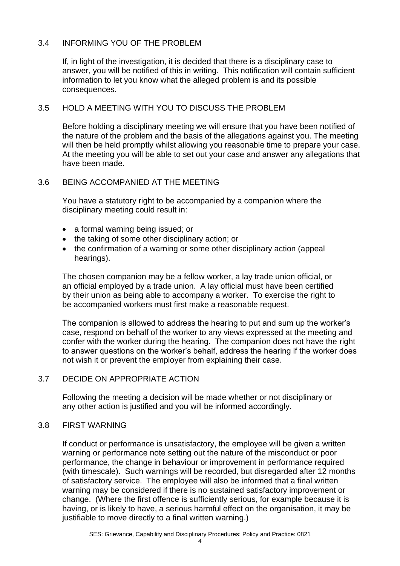## 3.4 INFORMING YOU OF THE PROBLEM

If, in light of the investigation, it is decided that there is a disciplinary case to answer, you will be notified of this in writing. This notification will contain sufficient information to let you know what the alleged problem is and its possible consequences.

### 3.5 HOLD A MEETING WITH YOU TO DISCUSS THE PROBLEM

Before holding a disciplinary meeting we will ensure that you have been notified of the nature of the problem and the basis of the allegations against you. The meeting will then be held promptly whilst allowing you reasonable time to prepare your case. At the meeting you will be able to set out your case and answer any allegations that have been made.

#### 3.6 BEING ACCOMPANIED AT THE MEETING

You have a statutory right to be accompanied by a companion where the disciplinary meeting could result in:

- a formal warning being issued; or
- the taking of some other disciplinary action; or
- the confirmation of a warning or some other disciplinary action (appeal hearings).

The chosen companion may be a fellow worker, a lay trade union official, or an official employed by a trade union. A lay official must have been certified by their union as being able to accompany a worker. To exercise the right to be accompanied workers must first make a reasonable request.

The companion is allowed to address the hearing to put and sum up the worker's case, respond on behalf of the worker to any views expressed at the meeting and confer with the worker during the hearing. The companion does not have the right to answer questions on the worker's behalf, address the hearing if the worker does not wish it or prevent the employer from explaining their case.

## 3.7 DECIDE ON APPROPRIATE ACTION

Following the meeting a decision will be made whether or not disciplinary or any other action is justified and you will be informed accordingly.

#### 3.8 FIRST WARNING

If conduct or performance is unsatisfactory, the employee will be given a written warning or performance note setting out the nature of the misconduct or poor performance, the change in behaviour or improvement in performance required (with timescale). Such warnings will be recorded, but disregarded after 12 months of satisfactory service. The employee will also be informed that a final written warning may be considered if there is no sustained satisfactory improvement or change. (Where the first offence is sufficiently serious, for example because it is having, or is likely to have, a serious harmful effect on the organisation, it may be justifiable to move directly to a final written warning.)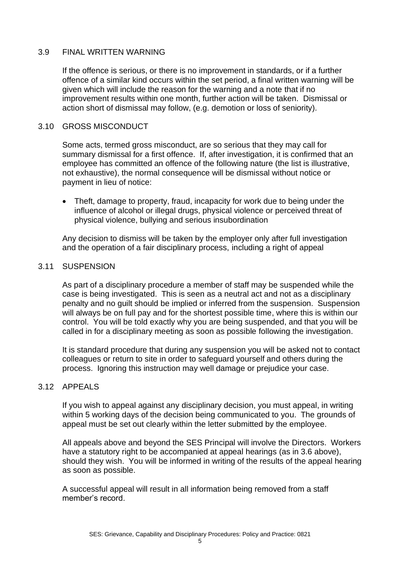#### 3.9 FINAL WRITTEN WARNING

If the offence is serious, or there is no improvement in standards, or if a further offence of a similar kind occurs within the set period, a final written warning will be given which will include the reason for the warning and a note that if no improvement results within one month, further action will be taken. Dismissal or action short of dismissal may follow, (e.g. demotion or loss of seniority).

#### 3.10 GROSS MISCONDUCT

Some acts, termed gross misconduct, are so serious that they may call for summary dismissal for a first offence. If, after investigation, it is confirmed that an employee has committed an offence of the following nature (the list is illustrative, not exhaustive), the normal consequence will be dismissal without notice or payment in lieu of notice:

• Theft, damage to property, fraud, incapacity for work due to being under the influence of alcohol or illegal drugs, physical violence or perceived threat of physical violence, bullying and serious insubordination

Any decision to dismiss will be taken by the employer only after full investigation and the operation of a fair disciplinary process, including a right of appeal

#### 3.11 SUSPENSION

As part of a disciplinary procedure a member of staff may be suspended while the case is being investigated. This is seen as a neutral act and not as a disciplinary penalty and no guilt should be implied or inferred from the suspension. Suspension will always be on full pay and for the shortest possible time, where this is within our control. You will be told exactly why you are being suspended, and that you will be called in for a disciplinary meeting as soon as possible following the investigation.

It is standard procedure that during any suspension you will be asked not to contact colleagues or return to site in order to safeguard yourself and others during the process. Ignoring this instruction may well damage or prejudice your case.

### 3.12 APPEALS

If you wish to appeal against any disciplinary decision, you must appeal, in writing within 5 working days of the decision being communicated to you. The grounds of appeal must be set out clearly within the letter submitted by the employee.

All appeals above and beyond the SES Principal will involve the Directors. Workers have a statutory right to be accompanied at appeal hearings (as in 3.6 above), should they wish. You will be informed in writing of the results of the appeal hearing as soon as possible.

A successful appeal will result in all information being removed from a staff member's record.